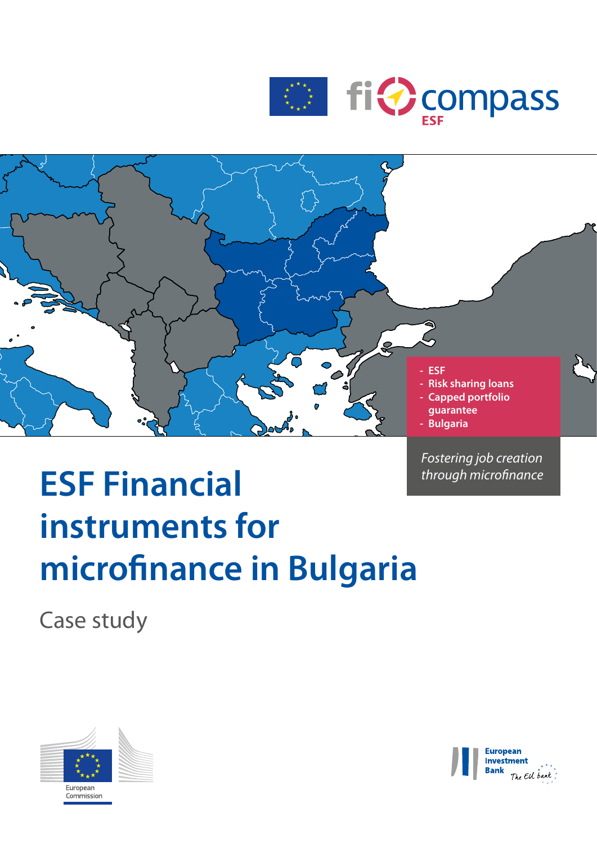



*Fostering job creation* 

# **ESF Financial** *through microfinance* **instruments for microfinance in Bulgaria**

Case study



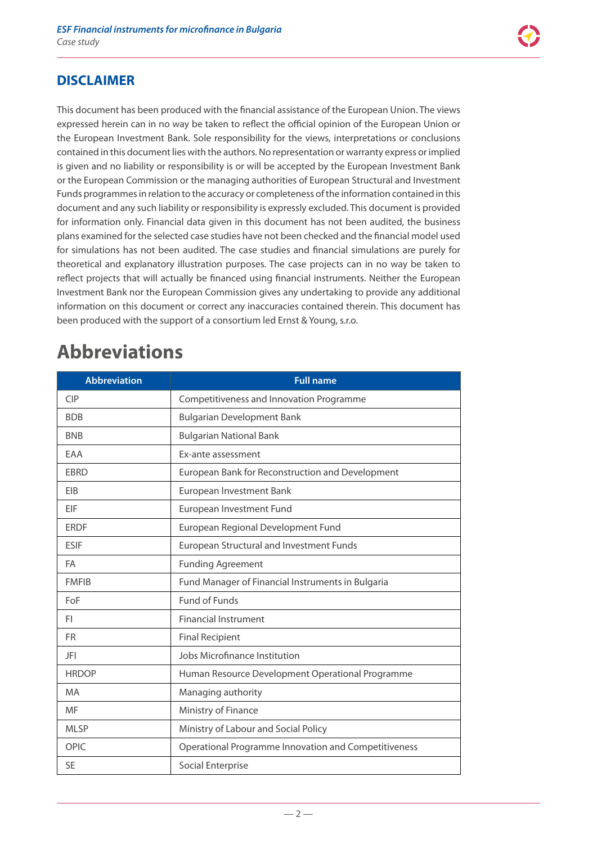### **DISCLAIMER**

This document has been produced with the financial assistance of the European Union. The views expressed herein can in no way be taken to reflect the official opinion of the European Union or the European Investment Bank. Sole responsibility for the views, interpretations or conclusions contained in this document lies with the authors. No representation or warranty express or implied is given and no liability or responsibility is or will be accepted by the European Investment Bank or the European Commission or the managing authorities of European Structural and Investment Funds programmes in relation to the accuracy or completeness of the information contained in this document and any such liability or responsibility is expressly excluded. This document is provided for information only. Financial data given in this document has not been audited, the business plans examined for the selected case studies have not been checked and the financial model used for simulations has not been audited. The case studies and financial simulations are purely for theoretical and explanatory illustration purposes. The case projects can in no way be taken to reflect projects that will actually be financed using financial instruments. Neither the European Investment Bank nor the European Commission gives any undertaking to provide any additional information on this document or correct any inaccuracies contained therein. This document has been produced with the support of a consortium led Ernst & Young, s.r.o.

# **Abbreviations**

| <b>Abbreviation</b> | <b>Full name</b>                                     |  |
|---------------------|------------------------------------------------------|--|
| <b>CIP</b>          | Competitiveness and Innovation Programme             |  |
| <b>BDB</b>          | <b>Bulgarian Development Bank</b>                    |  |
| <b>BNB</b>          | <b>Bulgarian National Bank</b>                       |  |
| EAA                 | Ex-ante assessment                                   |  |
| <b>EBRD</b>         | European Bank for Reconstruction and Development     |  |
| EIB                 | European Investment Bank                             |  |
| EIF                 | European Investment Fund                             |  |
| <b>ERDF</b>         | European Regional Development Fund                   |  |
| <b>ESIF</b>         | European Structural and Investment Funds             |  |
| FA                  | <b>Funding Agreement</b>                             |  |
| <b>FMFIB</b>        | Fund Manager of Financial Instruments in Bulgaria    |  |
| FoF                 | <b>Fund of Funds</b>                                 |  |
| FI.                 | <b>Financial Instrument</b>                          |  |
| <b>FR</b>           | <b>Final Recipient</b>                               |  |
| JFI                 | Jobs Microfinance Institution                        |  |
| <b>HRDOP</b>        | Human Resource Development Operational Programme     |  |
| <b>MA</b>           | Managing authority                                   |  |
| MF                  | Ministry of Finance                                  |  |
| <b>MLSP</b>         | Ministry of Labour and Social Policy                 |  |
| <b>OPIC</b>         | Operational Programme Innovation and Competitiveness |  |
| <b>SE</b>           | Social Enterprise                                    |  |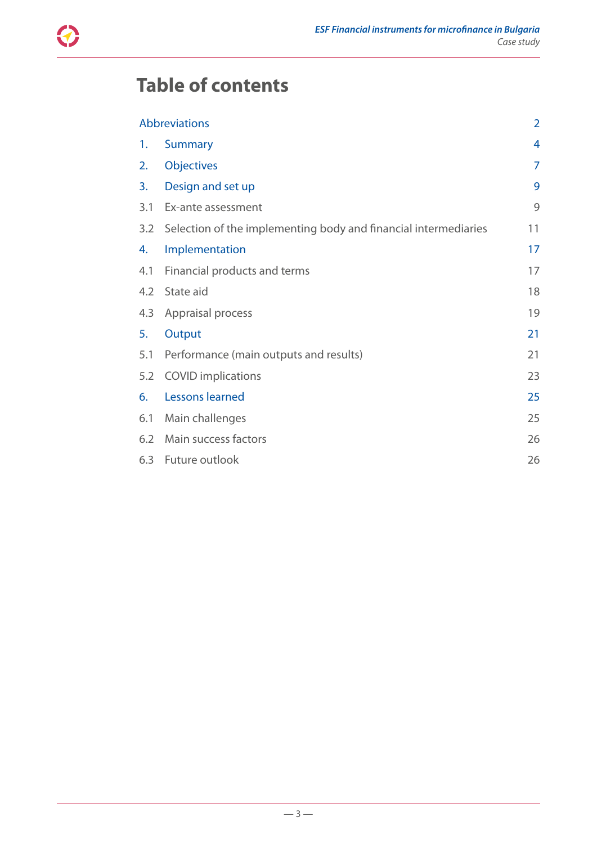

# **Table of contents**

| Abbreviations |                                                                 | $\overline{2}$ |
|---------------|-----------------------------------------------------------------|----------------|
| 1.            | <b>Summary</b>                                                  | 4              |
| 2.            | Objectives                                                      | 7              |
| 3.            | Design and set up                                               | 9              |
| 3.1           | Ex-ante assessment                                              | 9              |
| 3.2           | Selection of the implementing body and financial intermediaries | 11             |
| 4.            | Implementation                                                  | 17             |
| 4.1           | Financial products and terms                                    | 17             |
| 4.2           | State aid                                                       | 18             |
| 4.3           | Appraisal process                                               | 19             |
| 5.            | Output                                                          | 21             |
| 5.1           | Performance (main outputs and results)                          | 21             |
| 5.2           | <b>COVID</b> implications                                       | 23             |
| 6.            | <b>Lessons learned</b>                                          | 25             |
| 6.1           | Main challenges                                                 | 25             |
| 6.2           | Main success factors                                            | 26             |
| 6.3           | Future outlook                                                  | 26             |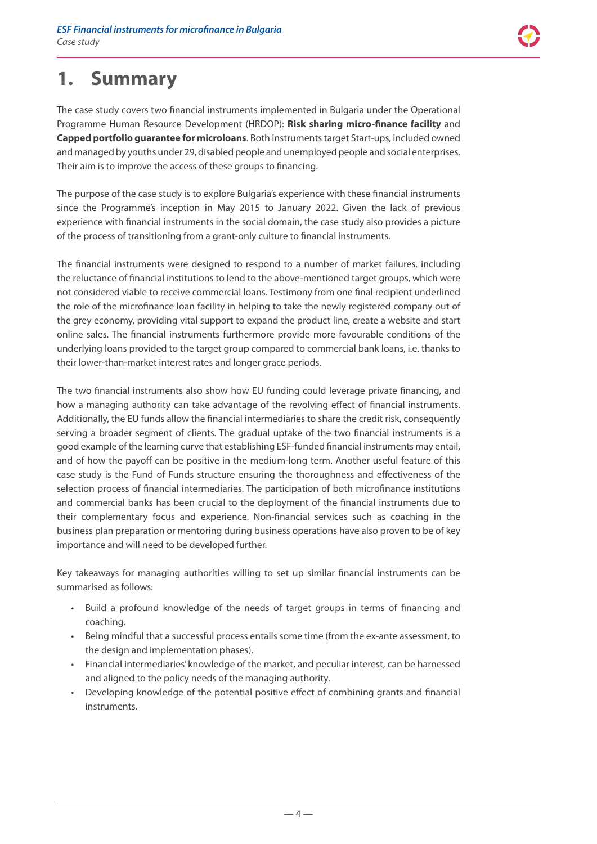

# <span id="page-3-0"></span>**1. Summary**

The case study covers two financial instruments implemented in Bulgaria under the Operational Programme Human Resource Development (HRDOP): **Risk sharing micro-finance facility** and **Capped portfolio guarantee for microloans**. Both instruments target Start-ups, included owned and managed by youths under 29, disabled people and unemployed people and social enterprises. Their aim is to improve the access of these groups to financing.

The purpose of the case study is to explore Bulgaria's experience with these financial instruments since the Programme's inception in May 2015 to January 2022. Given the lack of previous experience with financial instruments in the social domain, the case study also provides a picture of the process of transitioning from a grant-only culture to financial instruments.

The financial instruments were designed to respond to a number of market failures, including the reluctance of financial institutions to lend to the above-mentioned target groups, which were not considered viable to receive commercial loans. Testimony from one final recipient underlined the role of the microfinance loan facility in helping to take the newly registered company out of the grey economy, providing vital support to expand the product line, create a website and start online sales. The financial instruments furthermore provide more favourable conditions of the underlying loans provided to the target group compared to commercial bank loans, i.e. thanks to their lower-than-market interest rates and longer grace periods.

The two financial instruments also show how EU funding could leverage private financing, and how a managing authority can take advantage of the revolving effect of financial instruments. Additionally, the EU funds allow the financial intermediaries to share the credit risk, consequently serving a broader segment of clients. The gradual uptake of the two financial instruments is a good example of the learning curve that establishing ESF-funded financial instruments may entail, and of how the payoff can be positive in the medium-long term. Another useful feature of this case study is the Fund of Funds structure ensuring the thoroughness and effectiveness of the selection process of financial intermediaries. The participation of both microfinance institutions and commercial banks has been crucial to the deployment of the financial instruments due to their complementary focus and experience. Non-financial services such as coaching in the business plan preparation or mentoring during business operations have also proven to be of key importance and will need to be developed further.

Key takeaways for managing authorities willing to set up similar financial instruments can be summarised as follows:

- Build a profound knowledge of the needs of target groups in terms of financing and coaching.
- Being mindful that a successful process entails some time (from the ex-ante assessment, to the design and implementation phases).
- Financial intermediaries' knowledge of the market, and peculiar interest, can be harnessed and aligned to the policy needs of the managing authority.
- Developing knowledge of the potential positive effect of combining grants and financial instruments.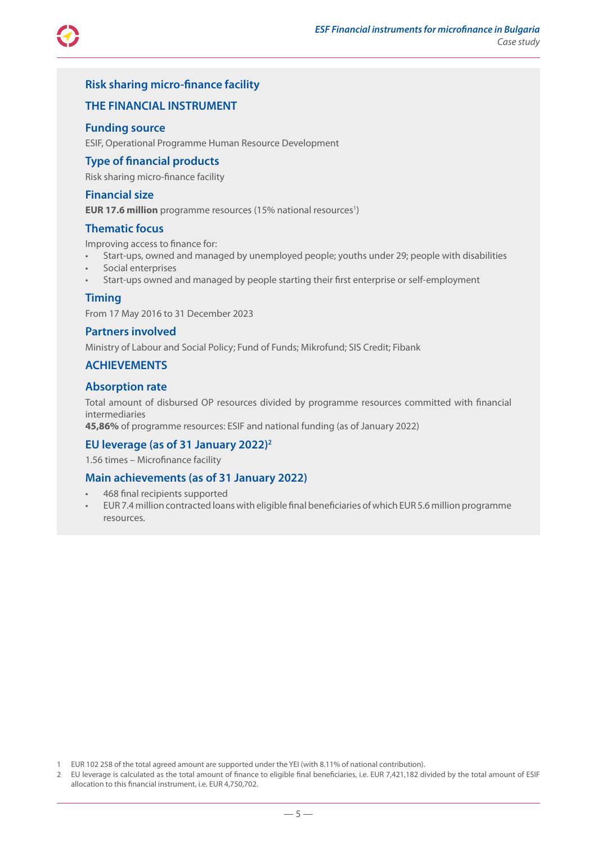

### **Risk sharing micro-finance facility**

### **THE FINANCIAL INSTRUMENT**

#### **Funding source**

ESIF, Operational Programme Human Resource Development

### **Type of financial products**

Risk sharing micro-finance facility

#### **Financial size**

**EUR 17.6 million** programme resources (15% national resources<sup>1</sup>)

#### **Thematic focus**

Improving access to finance for:

- Start-ups, owned and managed by unemployed people; youths under 29; people with disabilities
- Social enterprises
- Start-ups owned and managed by people starting their first enterprise or self-employment

#### **Timing**

From 17 May 2016 to 31 December 2023

#### **Partners involved**

Ministry of Labour and Social Policy; Fund of Funds; Mikrofund; SIS Credit; Fibank

### **ACHIEVEMENTS**

#### **Absorption rate**

Total amount of disbursed OP resources divided by programme resources committed with financial intermediaries

**45,86%** of programme resources: ESIF and national funding (as of January 2022)

### **EU leverage (as of 31 January 2022)2**

1.56 times – Microfinance facility

### **Main achievements (as of 31 January 2022)**

- 468 final recipients supported
- EUR 7.4 million contracted loans with eligible final beneficiaries of which EUR 5.6 million programme resources.

1 EUR 102 258 of the total agreed amount are supported under the YEI (with 8.11% of national contribution).

2 EU leverage is calculated as the total amount of finance to eligible final beneficiaries, i.e. EUR 7,421,182 divided by the total amount of ESIF allocation to this financial instrument, i.e. EUR 4,750,702.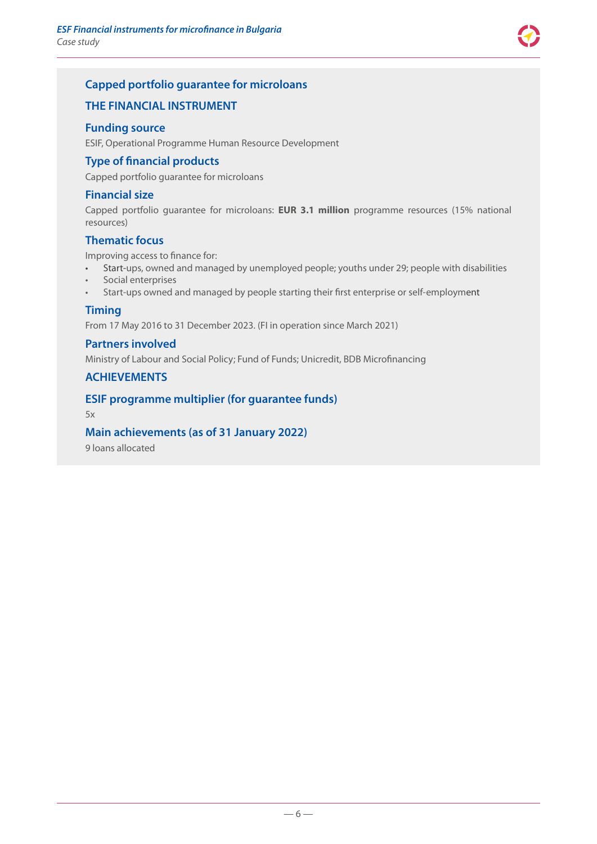

### **Capped portfolio guarantee for microloans**

### **THE FINANCIAL INSTRUMENT**

#### **Funding source**

ESIF, Operational Programme Human Resource Development

### **Type of financial products**

Capped portfolio guarantee for microloans

### **Financial size**

Capped portfolio guarantee for microloans: **EUR 3.1 million** programme resources (15% national resources)

### **Thematic focus**

Improving access to finance for:

- Start-ups, owned and managed by unemployed people; youths under 29; people with disabilities
- Social enterprises
- Start-ups owned and managed by people starting their first enterprise or self-employment

### **Timing**

From 17 May 2016 to 31 December 2023. (FI in operation since March 2021)

### **Partners involved**

Ministry of Labour and Social Policy; Fund of Funds; Unicredit, BDB Microfinancing

### **ACHIEVEMENTS**

### **ESIF programme multiplier (for guarantee funds)**

5x

### **Main achievements (as of 31 January 2022)**

9 loans allocated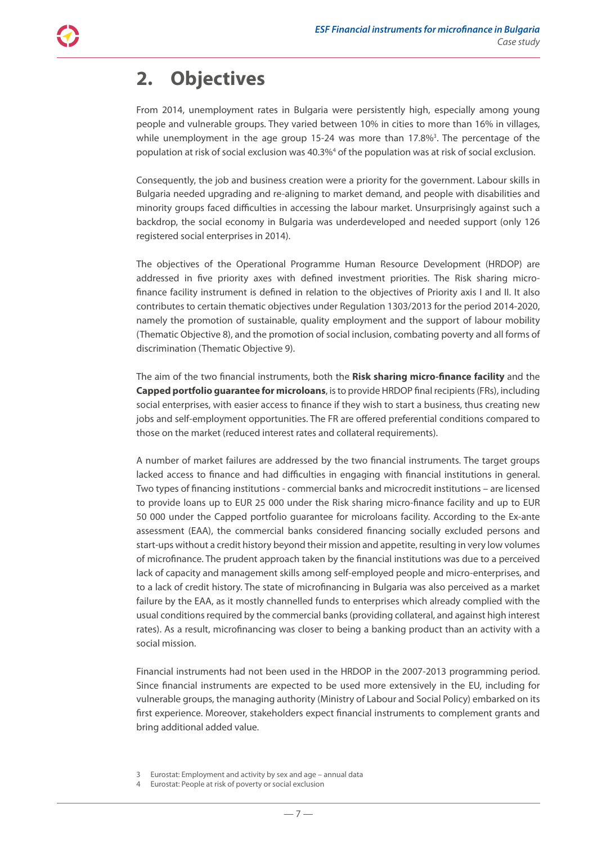# <span id="page-6-0"></span>**2. Objectives**

From 2014, unemployment rates in Bulgaria were persistently high, especially among young people and vulnerable groups. They varied between 10% in cities to more than 16% in villages, while unemployment in the age group 15-24 was more than  $17.8\%$ <sup>3</sup>. The percentage of the population at risk of social exclusion was 40.3%<sup>4</sup> of the population was at risk of social exclusion.

Consequently, the job and business creation were a priority for the government. Labour skills in Bulgaria needed upgrading and re-aligning to market demand, and people with disabilities and minority groups faced difficulties in accessing the labour market. Unsurprisingly against such a backdrop, the social economy in Bulgaria was underdeveloped and needed support (only 126 registered social enterprises in 2014).

The objectives of the Operational Programme Human Resource Development (HRDOP) are addressed in five priority axes with defined investment priorities. The Risk sharing microfinance facility instrument is defined in relation to the objectives of Priority axis I and II. It also contributes to certain thematic objectives under Regulation 1303/2013 for the period 2014-2020, namely the promotion of sustainable, quality employment and the support of labour mobility (Thematic Objective 8), and the promotion of social inclusion, combating poverty and all forms of discrimination (Thematic Objective 9).

The aim of the two financial instruments, both the **Risk sharing micro-finance facility** and the **Capped portfolio guarantee for microloans**, is to provide HRDOP final recipients (FRs), including social enterprises, with easier access to finance if they wish to start a business, thus creating new jobs and self-employment opportunities. The FR are offered preferential conditions compared to those on the market (reduced interest rates and collateral requirements).

A number of market failures are addressed by the two financial instruments. The target groups lacked access to finance and had difficulties in engaging with financial institutions in general. Two types of financing institutions - commercial banks and microcredit institutions – are licensed to provide loans up to EUR 25 000 under the Risk sharing micro-finance facility and up to EUR 50 000 under the Capped portfolio guarantee for microloans facility. According to the Ex-ante assessment (EAA), the commercial banks considered financing socially excluded persons and start-ups without a credit history beyond their mission and appetite, resulting in very low volumes of microfinance. The prudent approach taken by the financial institutions was due to a perceived lack of capacity and management skills among self-employed people and micro-enterprises, and to a lack of credit history. The state of microfinancing in Bulgaria was also perceived as a market failure by the EAA, as it mostly channelled funds to enterprises which already complied with the usual conditions required by the commercial banks (providing collateral, and against high interest rates). As a result, microfinancing was closer to being a banking product than an activity with a social mission.

Financial instruments had not been used in the HRDOP in the 2007-2013 programming period. Since financial instruments are expected to be used more extensively in the EU, including for vulnerable groups, the managing authority (Ministry of Labour and Social Policy) embarked on its first experience. Moreover, stakeholders expect financial instruments to complement grants and bring additional added value.

<sup>3</sup> Eurostat: Employment and activity by sex and age – annual data

Eurostat: People at risk of poverty or social exclusion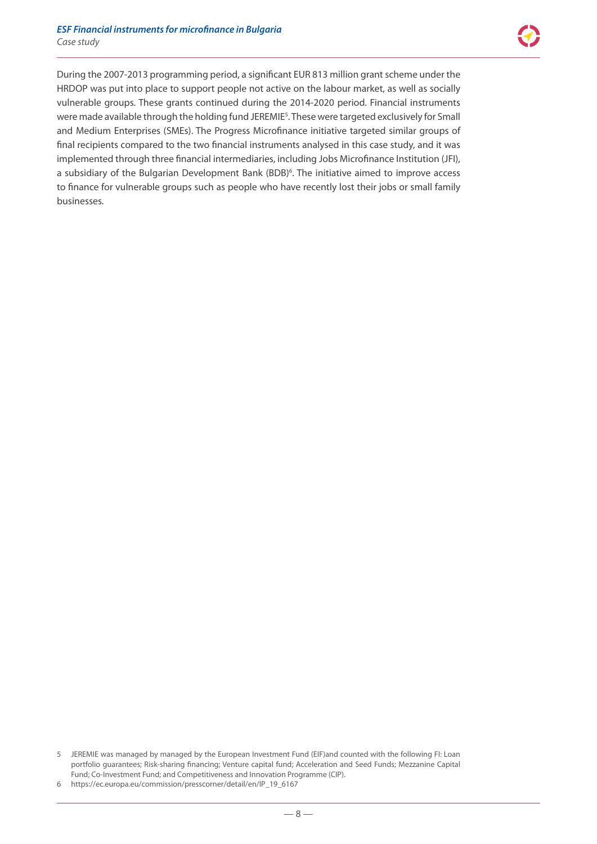During the 2007-2013 programming period, a significant EUR 813 million grant scheme under the HRDOP was put into place to support people not active on the labour market, as well as socially vulnerable groups. These grants continued during the 2014-2020 period. Financial instruments were made available through the holding fund JEREMIE<sup>5</sup>. These were targeted exclusively for Small and Medium Enterprises (SMEs). The Progress Microfinance initiative targeted similar groups of final recipients compared to the two financial instruments analysed in this case study, and it was implemented through three financial intermediaries, including Jobs Microfinance Institution (JFI), a subsidiary of the Bulgarian Development Bank (BDB)<sup>6</sup>. The initiative aimed to improve access to finance for vulnerable groups such as people who have recently lost their jobs or small family businesses.

<sup>5</sup> JEREMIE was managed by managed by the European Investment Fund (EIF)and counted with the following FI: Loan portfolio guarantees; Risk-sharing financing; Venture capital fund; Acceleration and Seed Funds; Mezzanine Capital Fund; Co-Investment Fund; and Competitiveness and Innovation Programme (CIP).

<sup>6</sup> [https://ec.europa.eu/commission/presscorner/detail/en/IP\\_19\\_6167](https://ec.europa.eu/commission/presscorner/detail/en/IP_19_6167)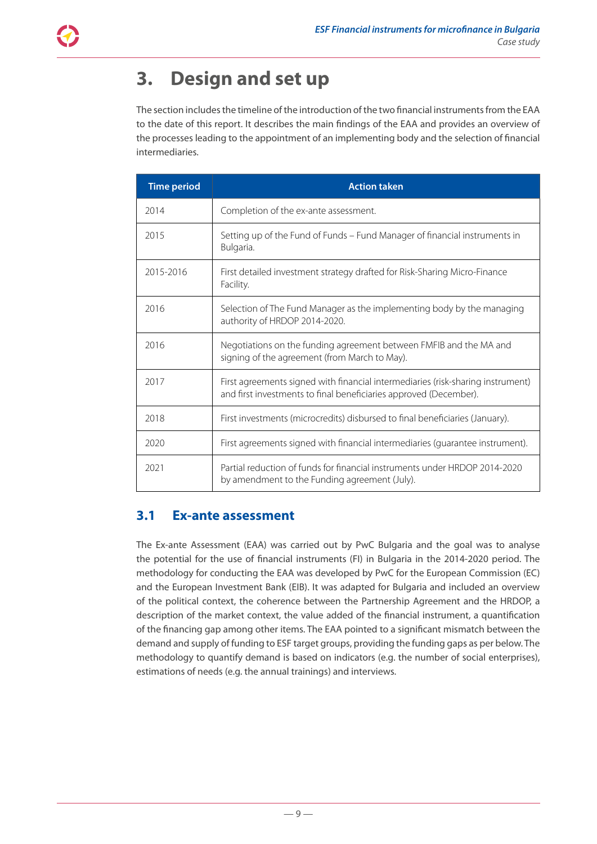# <span id="page-8-0"></span>**3. Design and set up**

The section includes the timeline of the introduction of the two financial instruments from the EAA to the date of this report. It describes the main findings of the EAA and provides an overview of the processes leading to the appointment of an implementing body and the selection of financial intermediaries.

| <b>Time period</b> | <b>Action taken</b>                                                                                                                                  |
|--------------------|------------------------------------------------------------------------------------------------------------------------------------------------------|
| 2014               | Completion of the ex-ante assessment.                                                                                                                |
| 2015               | Setting up of the Fund of Funds – Fund Manager of financial instruments in<br>Bulgaria.                                                              |
| 2015-2016          | First detailed investment strategy drafted for Risk-Sharing Micro-Finance<br>Facility.                                                               |
| 2016               | Selection of The Fund Manager as the implementing body by the managing<br>authority of HRDOP 2014-2020.                                              |
| 2016               | Negotiations on the funding agreement between FMFIB and the MA and<br>signing of the agreement (from March to May).                                  |
| 2017               | First agreements signed with financial intermediaries (risk-sharing instrument)<br>and first investments to final beneficiaries approved (December). |
| 2018               | First investments (microcredits) disbursed to final beneficiaries (January).                                                                         |
| 2020               | First agreements signed with financial intermediaries (guarantee instrument).                                                                        |
| 2021               | Partial reduction of funds for financial instruments under HRDOP 2014-2020<br>by amendment to the Funding agreement (July).                          |

### **3.1 Ex-ante assessment**

The Ex-ante Assessment (EAA) was carried out by PwC Bulgaria and the goal was to analyse the potential for the use of financial instruments (FI) in Bulgaria in the 2014-2020 period. The methodology for conducting the EAA was developed by PwC for the European Commission (EC) and the European Investment Bank (EIB). It was adapted for Bulgaria and included an overview of the political context, the coherence between the Partnership Agreement and the HRDOP, a description of the market context, the value added of the financial instrument, a quantification of the financing gap among other items. The EAA pointed to a significant mismatch between the demand and supply of funding to ESF target groups, providing the funding gaps as per below. The methodology to quantify demand is based on indicators (e.g. the number of social enterprises), estimations of needs (e.g. the annual trainings) and interviews.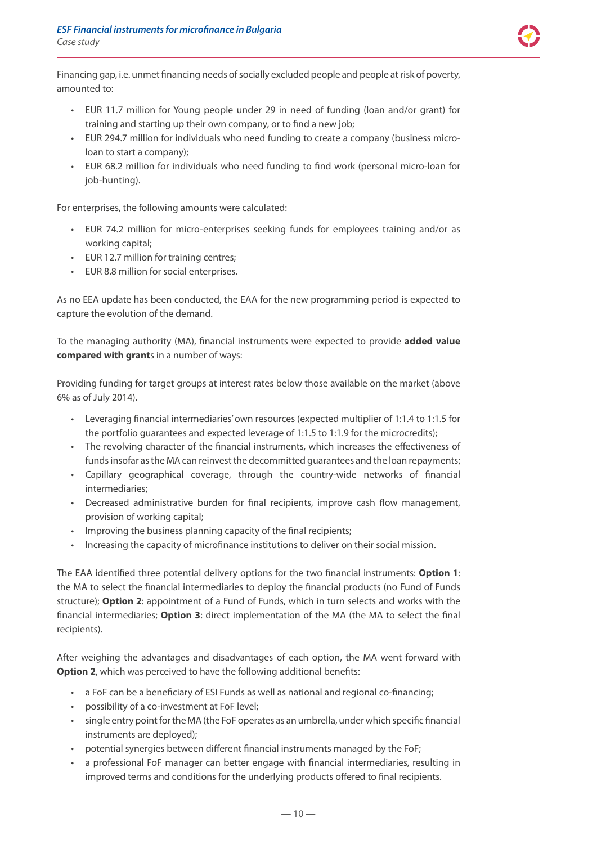Financing gap, i.e. unmet financing needs of socially excluded people and people at risk of poverty, amounted to:

- EUR 11.7 million for Young people under 29 in need of funding (loan and/or grant) for training and starting up their own company, or to find a new job;
- EUR 294.7 million for individuals who need funding to create a company (business microloan to start a company);
- EUR 68.2 million for individuals who need funding to find work (personal micro-loan for job-hunting).

For enterprises, the following amounts were calculated:

- EUR 74.2 million for micro-enterprises seeking funds for employees training and/or as working capital;
- EUR 12.7 million for training centres;
- EUR 8.8 million for social enterprises.

As no EEA update has been conducted, the EAA for the new programming period is expected to capture the evolution of the demand.

To the managing authority (MA), financial instruments were expected to provide **added value compared with grant**s in a number of ways:

Providing funding for target groups at interest rates below those available on the market (above 6% as of July 2014).

- Leveraging financial intermediaries' own resources (expected multiplier of 1:1.4 to 1:1.5 for the portfolio guarantees and expected leverage of 1:1.5 to 1:1.9 for the microcredits);
- The revolving character of the financial instruments, which increases the effectiveness of funds insofar as the MA can reinvest the decommitted guarantees and the loan repayments;
- Capillary geographical coverage, through the country-wide networks of financial intermediaries;
- Decreased administrative burden for final recipients, improve cash flow management, provision of working capital;
- Improving the business planning capacity of the final recipients;
- Increasing the capacity of microfinance institutions to deliver on their social mission.

The EAA identified three potential delivery options for the two financial instruments: **Option 1**: the MA to select the financial intermediaries to deploy the financial products (no Fund of Funds structure); **Option 2**: appointment of a Fund of Funds, which in turn selects and works with the financial intermediaries; **Option 3**: direct implementation of the MA (the MA to select the final recipients).

After weighing the advantages and disadvantages of each option, the MA went forward with **Option 2**, which was perceived to have the following additional benefits:

- a FoF can be a beneficiary of ESI Funds as well as national and regional co-financing;
- possibility of a co-investment at FoF level;
- single entry point for the MA (the FoF operates as an umbrella, under which specific financial instruments are deployed);
- potential synergies between different financial instruments managed by the FoF;
- a professional FoF manager can better engage with financial intermediaries, resulting in improved terms and conditions for the underlying products offered to final recipients.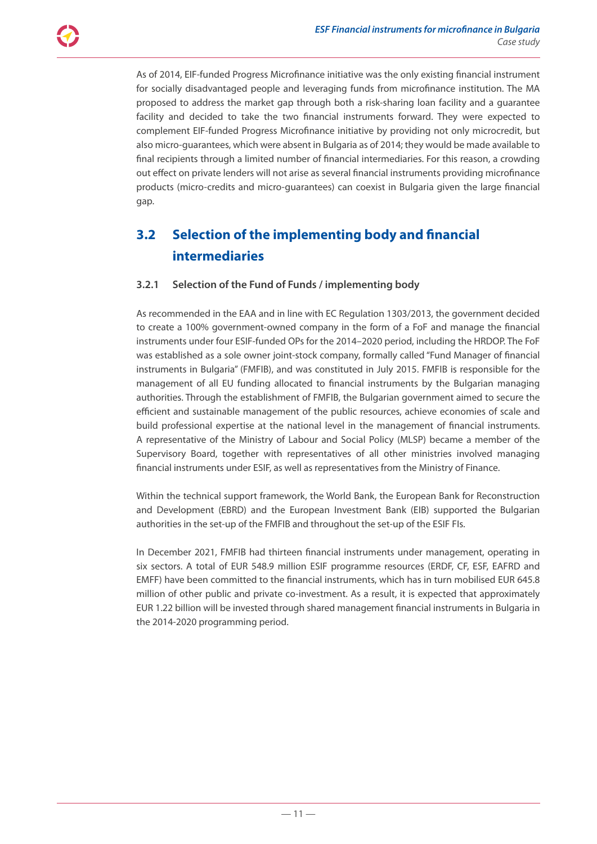<span id="page-10-0"></span>As of 2014, EIF-funded Progress Microfinance initiative was the only existing financial instrument for socially disadvantaged people and leveraging funds from microfinance institution. The MA proposed to address the market gap through both a risk-sharing loan facility and a guarantee facility and decided to take the two financial instruments forward. They were expected to complement EIF-funded Progress Microfinance initiative by providing not only microcredit, but also micro-guarantees, which were absent in Bulgaria as of 2014; they would be made available to final recipients through a limited number of financial intermediaries. For this reason, a crowding out effect on private lenders will not arise as several financial instruments providing microfinance products (micro-credits and micro-guarantees) can coexist in Bulgaria given the large financial gap.

### **3.2 Selection of the implementing body and financial intermediaries**

### **3.2.1 Selection of the Fund of Funds / implementing body**

As recommended in the EAA and in line with EC Regulation 1303/2013, the government decided to create a 100% government-owned company in the form of a FoF and manage the financial instruments under four ESIF-funded OPs for the 2014–2020 period, including the HRDOP. The FoF was established as a sole owner joint-stock company, formally called "Fund Manager of financial instruments in Bulgaria" (FMFIB), and was constituted in July 2015. FMFIB is responsible for the management of all EU funding allocated to financial instruments by the Bulgarian managing authorities. Through the establishment of FMFIB, the Bulgarian government aimed to secure the efficient and sustainable management of the public resources, achieve economies of scale and build professional expertise at the national level in the management of financial instruments. A representative of the Ministry of Labour and Social Policy (MLSP) became a member of the Supervisory Board, together with representatives of all other ministries involved managing financial instruments under ESIF, as well as representatives from the Ministry of Finance.

Within the technical support framework, the World Bank, the European Bank for Reconstruction and Development (EBRD) and the European Investment Bank (EIB) supported the Bulgarian authorities in the set-up of the FMFIB and throughout the set-up of the ESIF FIs.

In December 2021, FMFIB had thirteen financial instruments under management, operating in six sectors. A total of EUR 548.9 million ESIF programme resources (ERDF, CF, ESF, EAFRD and EMFF) have been committed to the financial instruments, which has in turn mobilised EUR 645.8 million of other public and private co-investment. As a result, it is expected that approximately EUR 1.22 billion will be invested through shared management financial instruments in Bulgaria in the 2014-2020 programming period.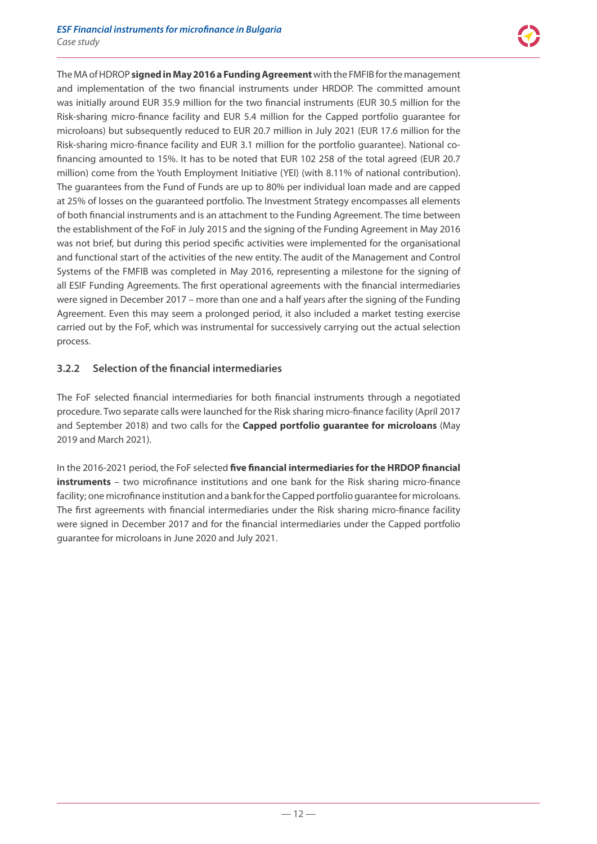The MA of HDROP **signed in May 2016 a Funding Agreement** with the FMFIB for the management and implementation of the two financial instruments under HRDOP. The committed amount was initially around EUR 35.9 million for the two financial instruments (EUR 30.5 million for the Risk-sharing micro-finance facility and EUR 5.4 million for the Capped portfolio guarantee for microloans) but subsequently reduced to EUR 20.7 million in July 2021 (EUR 17.6 million for the Risk-sharing micro-finance facility and EUR 3.1 million for the portfolio guarantee). National cofinancing amounted to 15%. It has to be noted that EUR 102 258 of the total agreed (EUR 20.7 million) come from the Youth Employment Initiative (YEI) (with 8.11% of national contribution). The guarantees from the Fund of Funds are up to 80% per individual loan made and are capped at 25% of losses on the guaranteed portfolio. The Investment Strategy encompasses all elements of both financial instruments and is an attachment to the Funding Agreement. The time between the establishment of the FoF in July 2015 and the signing of the Funding Agreement in May 2016 was not brief, but during this period specific activities were implemented for the organisational and functional start of the activities of the new entity. The audit of the Management and Control Systems of the FMFIB was completed in May 2016, representing a milestone for the signing of all ESIF Funding Agreements. The first operational agreements with the financial intermediaries were signed in December 2017 – more than one and a half years after the signing of the Funding Agreement. Even this may seem a prolonged period, it also included a market testing exercise carried out by the FoF, which was instrumental for successively carrying out the actual selection process.

### **3.2.2 Selection of the financial intermediaries**

The FoF selected financial intermediaries for both financial instruments through a negotiated procedure. Two separate calls were launched for the Risk sharing micro-finance facility (April 2017 and September 2018) and two calls for the **Capped portfolio guarantee for microloans** (May 2019 and March 2021).

In the 2016-2021 period, the FoF selected **five financial intermediaries for the HRDOP financial instruments** – two microfinance institutions and one bank for the Risk sharing micro-finance facility; one microfinance institution and a bank for the Capped portfolio guarantee for microloans. The first agreements with financial intermediaries under the Risk sharing micro-finance facility were signed in December 2017 and for the financial intermediaries under the Capped portfolio guarantee for microloans in June 2020 and July 2021.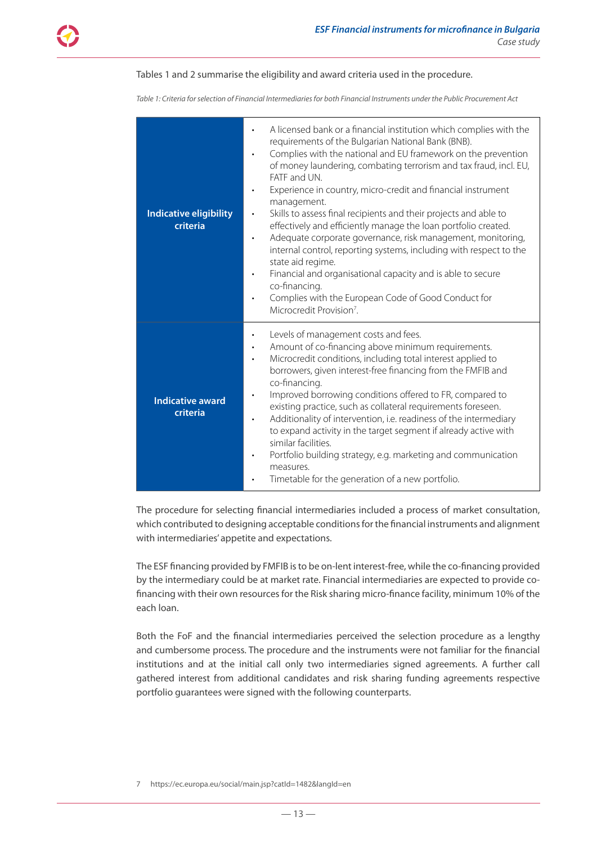#### Tables 1 and 2 summarise the eligibility and award criteria used in the procedure.

*Table 1: Criteria for selection of Financial Intermediaries for both Financial Instruments under the Public Procurement Act*

| <b>Indicative eligibility</b><br>criteria | A licensed bank or a financial institution which complies with the<br>requirements of the Bulgarian National Bank (BNB).<br>Complies with the national and EU framework on the prevention<br>$\bullet$<br>of money laundering, combating terrorism and tax fraud, incl. EU,<br>FATF and UN.<br>Experience in country, micro-credit and financial instrument<br>management.<br>Skills to assess final recipients and their projects and able to<br>$\bullet$<br>effectively and efficiently manage the loan portfolio created.<br>Adequate corporate governance, risk management, monitoring,<br>$\bullet$<br>internal control, reporting systems, including with respect to the<br>state aid regime.<br>Financial and organisational capacity and is able to secure<br>$\bullet$<br>co-financing.<br>Complies with the European Code of Good Conduct for<br>Microcredit Provision <sup>7</sup> . |
|-------------------------------------------|--------------------------------------------------------------------------------------------------------------------------------------------------------------------------------------------------------------------------------------------------------------------------------------------------------------------------------------------------------------------------------------------------------------------------------------------------------------------------------------------------------------------------------------------------------------------------------------------------------------------------------------------------------------------------------------------------------------------------------------------------------------------------------------------------------------------------------------------------------------------------------------------------|
| <b>Indicative award</b><br>criteria       | Levels of management costs and fees.<br>$\bullet$<br>Amount of co-financing above minimum requirements.<br>$\bullet$<br>Microcredit conditions, including total interest applied to<br>borrowers, given interest-free financing from the FMFIB and<br>co-financing.<br>Improved borrowing conditions offered to FR, compared to<br>$\bullet$<br>existing practice, such as collateral requirements foreseen.<br>Additionality of intervention, i.e. readiness of the intermediary<br>$\bullet$<br>to expand activity in the target segment if already active with<br>similar facilities.<br>Portfolio building strategy, e.g. marketing and communication<br>measures.<br>Timetable for the generation of a new portfolio.                                                                                                                                                                       |

The procedure for selecting financial intermediaries included a process of market consultation, which contributed to designing acceptable conditions for the financial instruments and alignment with intermediaries' appetite and expectations.

The ESF financing provided by FMFIB is to be on-lent interest-free, while the co-financing provided by the intermediary could be at market rate. Financial intermediaries are expected to provide cofinancing with their own resources for the Risk sharing micro-finance facility, minimum 10% of the each loan.

Both the FoF and the financial intermediaries perceived the selection procedure as a lengthy and cumbersome process. The procedure and the instruments were not familiar for the financial institutions and at the initial call only two intermediaries signed agreements. A further call gathered interest from additional candidates and risk sharing funding agreements respective portfolio guarantees were signed with the following counterparts.

7 https://ec.europa.eu/social/main.jsp?catId=1482&langId=en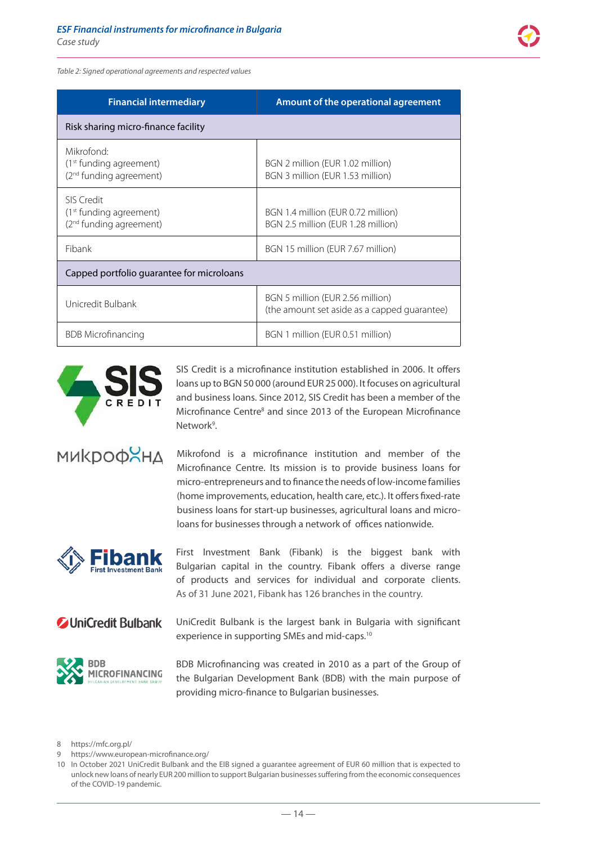*Table 2: Signed operational agreements and respected values*

| <b>Financial intermediary</b>                                                            | Amount of the operational agreement                                              |  |
|------------------------------------------------------------------------------------------|----------------------------------------------------------------------------------|--|
| Risk sharing micro-finance facility                                                      |                                                                                  |  |
| Mikrofond:<br>(1 <sup>st</sup> funding agreement)<br>(2 <sup>nd</sup> funding agreement) | BGN 2 million (EUR 1.02 million)<br>BGN 3 million (EUR 1.53 million)             |  |
| SIS Credit<br>(1 <sup>st</sup> funding agreement)<br>(2 <sup>nd</sup> funding agreement) | BGN 1.4 million (EUR 0.72 million)<br>BGN 2.5 million (EUR 1.28 million)         |  |
| <b>Fibank</b>                                                                            | BGN 15 million (EUR 7.67 million)                                                |  |
| Capped portfolio guarantee for microloans                                                |                                                                                  |  |
| Unicredit Bulbank                                                                        | BGN 5 million (EUR 2.56 million)<br>(the amount set aside as a capped quarantee) |  |
| <b>BDB</b> Microfinancing                                                                | BGN 1 million (EUR 0.51 million)                                                 |  |



SIS Credit is a microfinance institution established in 2006. It offers loans up to BGN 50 000 (around EUR 25 000). It focuses on agricultural and business loans. Since 2012, SIS Credit has been a member of the Microfinance Centre<sup>8</sup> and since 2013 of the European Microfinance Network<sup>9</sup>.

**MUKDOOXHA** 

Mikrofond is a microfinance institution and member of the Microfinance Centre. Its mission is to provide business loans for micro-entrepreneurs and to finance the needs of low-income families (home improvements, education, health care, etc.). It offers fixed-rate business loans for start-up businesses, agricultural loans and microloans for businesses through a network of offices nationwide.



First Investment Bank (Fibank) is the biggest bank with Bulgarian capital in the country. Fibank offers a diverse range of products and services for individual and corporate clients. As of 31 June 2021, Fibank has 126 branches in the country.

### **Z** UniCredit Bulbank

UniCredit Bulbank is the largest bank in Bulgaria with significant experience in supporting SMEs and mid-caps.10



BDB Microfinancing was created in 2010 as a part of the Group of the Bulgarian Development Bank (BDB) with the main purpose of providing micro-finance to Bulgarian businesses.

8 https://mfc.org.pl/

<sup>9</sup> https://www.european-microfinance.org/

<sup>10</sup> In October 2021 UniCredit Bulbank and the EIB signed a guarantee agreement of EUR 60 million that is expected to unlock new loans of nearly EUR 200 million to support Bulgarian businesses suffering from the economic consequences of the COVID-19 pandemic.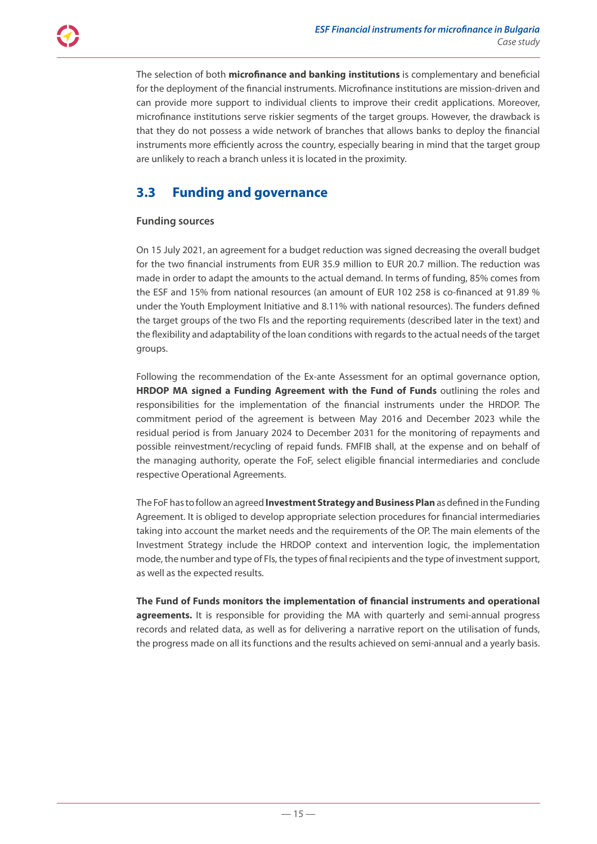The selection of both **microfinance and banking institutions** is complementary and beneficial for the deployment of the financial instruments. Microfinance institutions are mission-driven and can provide more support to individual clients to improve their credit applications. Moreover, microfinance institutions serve riskier segments of the target groups. However, the drawback is that they do not possess a wide network of branches that allows banks to deploy the financial instruments more efficiently across the country, especially bearing in mind that the target group are unlikely to reach a branch unless it is located in the proximity.

### **3.3 Funding and governance**

### **Funding sources**

On 15 July 2021, an agreement for a budget reduction was signed decreasing the overall budget for the two financial instruments from EUR 35.9 million to EUR 20.7 million. The reduction was made in order to adapt the amounts to the actual demand. In terms of funding, 85% comes from the ESF and 15% from national resources (an amount of EUR 102 258 is co-financed at 91.89 % under the Youth Employment Initiative and 8.11% with national resources). The funders defined the target groups of the two FIs and the reporting requirements (described later in the text) and the flexibility and adaptability of the loan conditions with regards to the actual needs of the target groups.

Following the recommendation of the Ex-ante Assessment for an optimal governance option, **HRDOP MA signed a Funding Agreement with the Fund of Funds** outlining the roles and responsibilities for the implementation of the financial instruments under the HRDOP. The commitment period of the agreement is between May 2016 and December 2023 while the residual period is from January 2024 to December 2031 for the monitoring of repayments and possible reinvestment/recycling of repaid funds. FMFIB shall, at the expense and on behalf of the managing authority, operate the FoF, select eligible financial intermediaries and conclude respective Operational Agreements.

The FoF has to follow an agreed **Investment Strategy and Business Plan** as defined in the Funding Agreement. It is obliged to develop appropriate selection procedures for financial intermediaries taking into account the market needs and the requirements of the OP. The main elements of the Investment Strategy include the HRDOP context and intervention logic, the implementation mode, the number and type of FIs, the types of final recipients and the type of investment support, as well as the expected results.

**The Fund of Funds monitors the implementation of financial instruments and operational agreements.** It is responsible for providing the MA with quarterly and semi-annual progress records and related data, as well as for delivering a narrative report on the utilisation of funds, the progress made on all its functions and the results achieved on semi-annual and a yearly basis.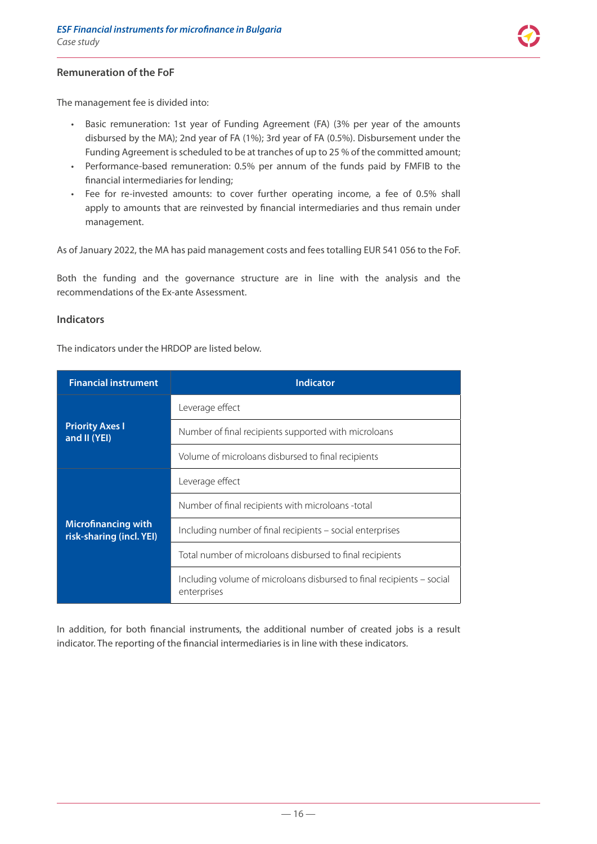

### **Remuneration of the FoF**

The management fee is divided into:

- Basic remuneration: 1st year of Funding Agreement (FA) (3% per year of the amounts disbursed by the MA); 2nd year of FA (1%); 3rd year of FA (0.5%). Disbursement under the Funding Agreement is scheduled to be at tranches of up to 25 % of the committed amount;
- Performance-based remuneration: 0.5% per annum of the funds paid by FMFIB to the financial intermediaries for lending;
- Fee for re-invested amounts: to cover further operating income, a fee of 0.5% shall apply to amounts that are reinvested by financial intermediaries and thus remain under management.

As of January 2022, the MA has paid management costs and fees totalling EUR 541 056 to the FoF.

Both the funding and the governance structure are in line with the analysis and the recommendations of the Ex-ante Assessment.

#### **Indicators**

The indicators under the HRDOP are listed below.

| <b>Financial instrument</b>                            | <b>Indicator</b>                                                                     |  |
|--------------------------------------------------------|--------------------------------------------------------------------------------------|--|
| <b>Priority Axes I</b><br>and II (YEI)                 | Leverage effect                                                                      |  |
|                                                        | Number of final recipients supported with microloans                                 |  |
|                                                        | Volume of microloans disbursed to final recipients                                   |  |
|                                                        | Leverage effect                                                                      |  |
|                                                        | Number of final recipients with microloans -total                                    |  |
| <b>Microfinancing with</b><br>risk-sharing (incl. YEI) | Including number of final recipients - social enterprises                            |  |
|                                                        | Total number of microloans disbursed to final recipients                             |  |
|                                                        | Including volume of microloans disbursed to final recipients – social<br>enterprises |  |

In addition, for both financial instruments, the additional number of created jobs is a result indicator. The reporting of the financial intermediaries is in line with these indicators.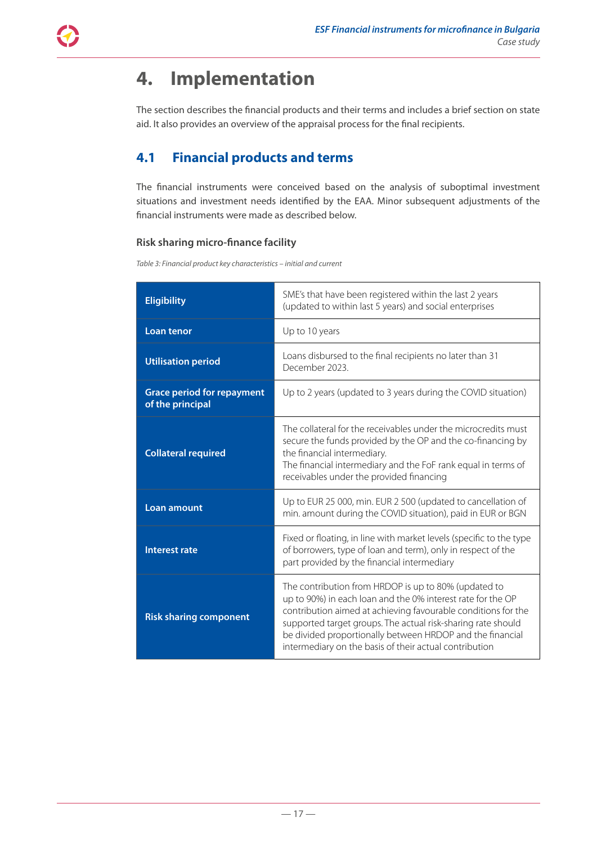# <span id="page-16-0"></span>**4. Implementation**

The section describes the financial products and their terms and includes a brief section on state aid. It also provides an overview of the appraisal process for the final recipients.

### **4.1 Financial products and terms**

The financial instruments were conceived based on the analysis of suboptimal investment situations and investment needs identified by the EAA. Minor subsequent adjustments of the financial instruments were made as described below.

### **Risk sharing micro-finance facility**

*Table 3: Financial product key characteristics – initial and current* 

| <b>Eligibility</b>                                                                                                                                                                                                                                                                                      | SME's that have been registered within the last 2 years<br>(updated to within last 5 years) and social enterprises                                                                                                                                                                                                                                                          |  |  |
|---------------------------------------------------------------------------------------------------------------------------------------------------------------------------------------------------------------------------------------------------------------------------------------------------------|-----------------------------------------------------------------------------------------------------------------------------------------------------------------------------------------------------------------------------------------------------------------------------------------------------------------------------------------------------------------------------|--|--|
| <b>Loan tenor</b>                                                                                                                                                                                                                                                                                       | Up to 10 years                                                                                                                                                                                                                                                                                                                                                              |  |  |
| <b>Utilisation period</b>                                                                                                                                                                                                                                                                               | Loans disbursed to the final recipients no later than 31<br>December 2023.                                                                                                                                                                                                                                                                                                  |  |  |
| <b>Grace period for repayment</b><br>of the principal                                                                                                                                                                                                                                                   | Up to 2 years (updated to 3 years during the COVID situation)                                                                                                                                                                                                                                                                                                               |  |  |
| The collateral for the receivables under the microcredits must<br>secure the funds provided by the OP and the co-financing by<br><b>Collateral required</b><br>the financial intermediary.<br>The financial intermediary and the FoF rank equal in terms of<br>receivables under the provided financing |                                                                                                                                                                                                                                                                                                                                                                             |  |  |
| <b>Loan amount</b>                                                                                                                                                                                                                                                                                      | Up to EUR 25 000, min. EUR 2 500 (updated to cancellation of<br>min. amount during the COVID situation), paid in EUR or BGN                                                                                                                                                                                                                                                 |  |  |
| Fixed or floating, in line with market levels (specific to the type<br>of borrowers, type of loan and term), only in respect of the<br><b>Interest rate</b><br>part provided by the financial intermediary                                                                                              |                                                                                                                                                                                                                                                                                                                                                                             |  |  |
| <b>Risk sharing component</b>                                                                                                                                                                                                                                                                           | The contribution from HRDOP is up to 80% (updated to<br>up to 90%) in each loan and the 0% interest rate for the OP<br>contribution aimed at achieving favourable conditions for the<br>supported target groups. The actual risk-sharing rate should<br>be divided proportionally between HRDOP and the financial<br>intermediary on the basis of their actual contribution |  |  |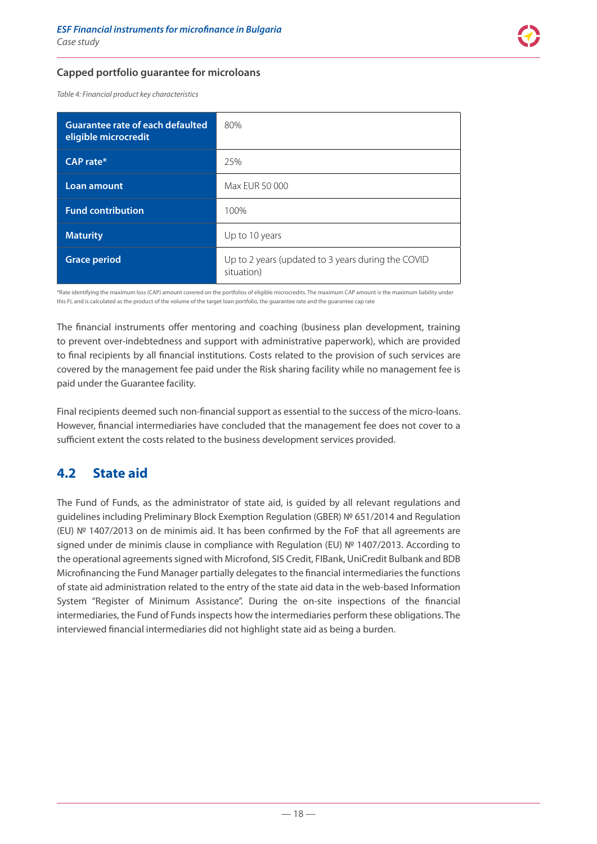#### <span id="page-17-0"></span>**Capped portfolio guarantee for microloans**

*Table 4: Financial product key characteristics*

| Guarantee rate of each defaulted<br>eligible microcredit | 80%                                                              |
|----------------------------------------------------------|------------------------------------------------------------------|
| $CAP$ rate $*$                                           | 25%                                                              |
| Loan amount                                              | Max EUR 50 000                                                   |
| <b>Fund contribution</b>                                 | 100%                                                             |
| <b>Maturity</b>                                          | Up to 10 years                                                   |
| <b>Grace period</b>                                      | Up to 2 years (updated to 3 years during the COVID<br>situation) |

\*Rate identifying the maximum loss (CAP) amount covered on the portfolios of eligible microcredits. The maximum CAP amount is the maximum liability under this FI, and is calculated as the product of the volume of the target loan portfolio, the guarantee rate and the guarantee cap rate

The financial instruments offer mentoring and coaching (business plan development, training to prevent over-indebtedness and support with administrative paperwork), which are provided to final recipients by all financial institutions. Costs related to the provision of such services are covered by the management fee paid under the Risk sharing facility while no management fee is paid under the Guarantee facility.

Final recipients deemed such non-financial support as essential to the success of the micro-loans. However, financial intermediaries have concluded that the management fee does not cover to a sufficient extent the costs related to the business development services provided.

### **4.2 State aid**

The Fund of Funds, as the administrator of state aid, is guided by all relevant regulations and guidelines including Preliminary Block Exemption Regulation (GBER) № 651/2014 and Regulation (EU) № 1407/2013 on de minimis aid. It has been confirmed by the FoF that all agreements are signed under de minimis clause in compliance with Regulation (EU) № 1407/2013. According to the operational agreements signed with Microfond, SIS Credit, FIBank, UniCredit Bulbank and BDB Microfinancing the Fund Manager partially delegates to the financial intermediaries the functions of state aid administration related to the entry of the state aid data in the web-based Information System "Register of Minimum Assistance". During the on-site inspections of the financial intermediaries, the Fund of Funds inspects how the intermediaries perform these obligations. The interviewed financial intermediaries did not highlight state aid as being a burden.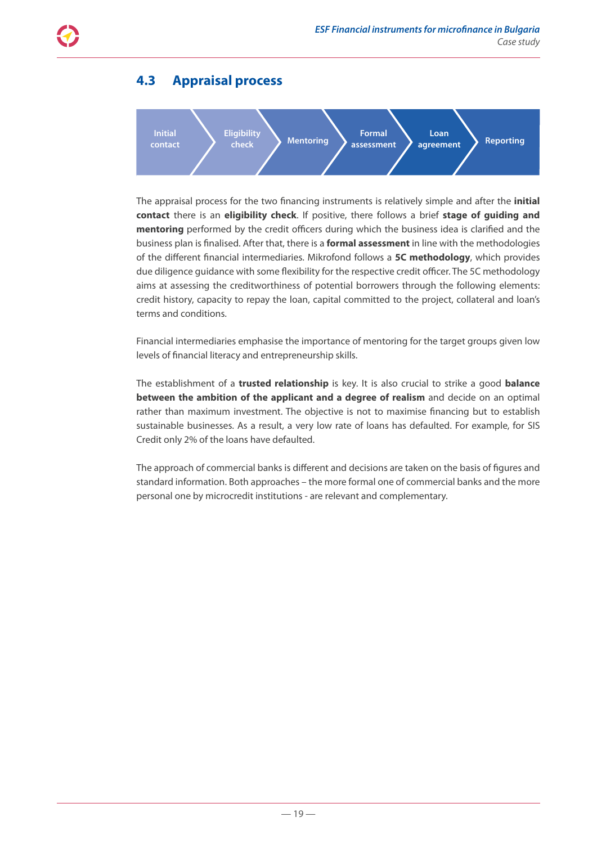<span id="page-18-0"></span>

### **4.3 Appraisal process**



The appraisal process for the two financing instruments is relatively simple and after the **initial contact** there is an **eligibility check**. If positive, there follows a brief **stage of guiding and mentoring** performed by the credit officers during which the business idea is clarified and the business plan is finalised. After that, there is a **formal assessment** in line with the methodologies of the different financial intermediaries. Mikrofond follows a **5C methodology**, which provides due diligence guidance with some flexibility for the respective credit officer. The 5C methodology aims at assessing the creditworthiness of potential borrowers through the following elements: credit history, capacity to repay the loan, capital committed to the project, collateral and loan's terms and conditions.

Financial intermediaries emphasise the importance of mentoring for the target groups given low levels of financial literacy and entrepreneurship skills.

The establishment of a **trusted relationship** is key. It is also crucial to strike a good **balance between the ambition of the applicant and a degree of realism** and decide on an optimal rather than maximum investment. The objective is not to maximise financing but to establish sustainable businesses. As a result, a very low rate of loans has defaulted. For example, for SIS Credit only 2% of the loans have defaulted.

The approach of commercial banks is different and decisions are taken on the basis of figures and standard information. Both approaches – the more formal one of commercial banks and the more personal one by microcredit institutions - are relevant and complementary.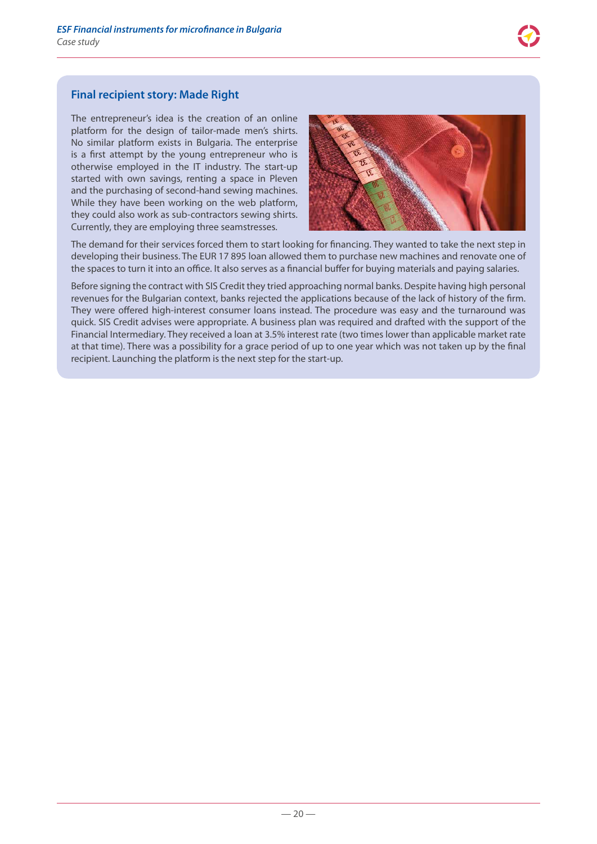

### **Final recipient story: Made Right**

The entrepreneur's idea is the creation of an online platform for the design of tailor-made men's shirts. No similar platform exists in Bulgaria. The enterprise is a first attempt by the young entrepreneur who is otherwise employed in the IT industry. The start-up started with own savings, renting a space in Pleven and the purchasing of second-hand sewing machines. While they have been working on the web platform, they could also work as sub-contractors sewing shirts. Currently, they are employing three seamstresses.



The demand for their services forced them to start looking for financing. They wanted to take the next step in developing their business. The EUR 17 895 loan allowed them to purchase new machines and renovate one of the spaces to turn it into an office. It also serves as a financial buffer for buying materials and paying salaries.

Before signing the contract with SIS Credit they tried approaching normal banks. Despite having high personal revenues for the Bulgarian context, banks rejected the applications because of the lack of history of the firm. They were offered high-interest consumer loans instead. The procedure was easy and the turnaround was quick. SIS Credit advises were appropriate. A business plan was required and drafted with the support of the Financial Intermediary. They received a loan at 3.5% interest rate (two times lower than applicable market rate at that time). There was a possibility for a grace period of up to one year which was not taken up by the final recipient. Launching the platform is the next step for the start-up.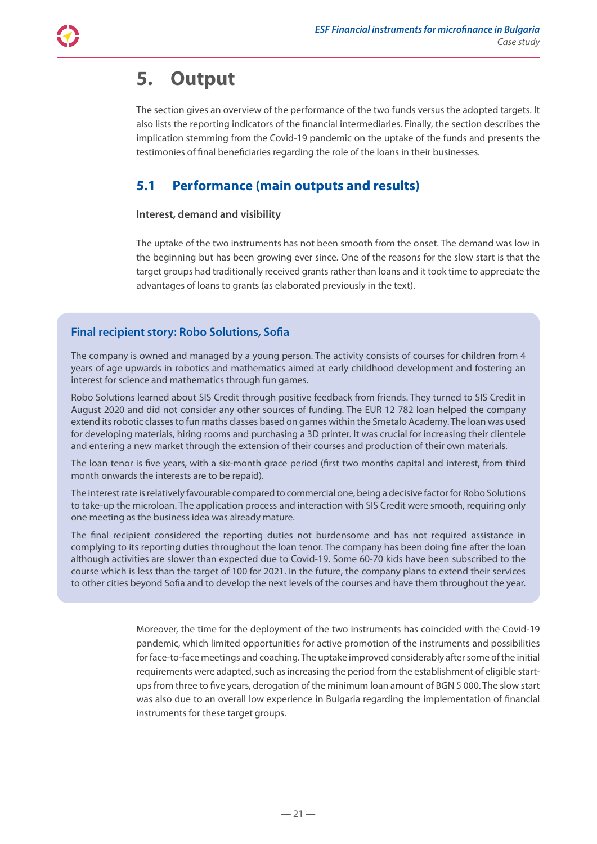# <span id="page-20-0"></span>**5. Output**

The section gives an overview of the performance of the two funds versus the adopted targets. It also lists the reporting indicators of the financial intermediaries. Finally, the section describes the implication stemming from the Covid-19 pandemic on the uptake of the funds and presents the testimonies of final beneficiaries regarding the role of the loans in their businesses.

### **5.1 Performance (main outputs and results)**

### **Interest, demand and visibility**

The uptake of the two instruments has not been smooth from the onset. The demand was low in the beginning but has been growing ever since. One of the reasons for the slow start is that the target groups had traditionally received grants rather than loans and it took time to appreciate the advantages of loans to grants (as elaborated previously in the text).

### **Final recipient story: Robo Solutions, Sofia**

The company is owned and managed by a young person. The activity consists of courses for children from 4 years of age upwards in robotics and mathematics aimed at early childhood development and fostering an interest for science and mathematics through fun games.

Robo Solutions learned about SIS Credit through positive feedback from friends. They turned to SIS Credit in August 2020 and did not consider any other sources of funding. The EUR 12 782 loan helped the company extend its robotic classes to fun maths classes based on games within the Smetalo Academy. The loan was used for developing materials, hiring rooms and purchasing a 3D printer. It was crucial for increasing their clientele and entering a new market through the extension of their courses and production of their own materials.

The loan tenor is five years, with a six-month grace period (first two months capital and interest, from third month onwards the interests are to be repaid).

The interest rate is relatively favourable compared to commercial one, being a decisive factor for Robo Solutions to take-up the microloan. The application process and interaction with SIS Credit were smooth, requiring only one meeting as the business idea was already mature.

The final recipient considered the reporting duties not burdensome and has not required assistance in complying to its reporting duties throughout the loan tenor. The company has been doing fine after the loan although activities are slower than expected due to Covid-19. Some 60-70 kids have been subscribed to the course which is less than the target of 100 for 2021. In the future, the company plans to extend their services to other cities beyond Sofia and to develop the next levels of the courses and have them throughout the year.

> Moreover, the time for the deployment of the two instruments has coincided with the Covid-19 pandemic, which limited opportunities for active promotion of the instruments and possibilities for face-to-face meetings and coaching. The uptake improved considerably after some of the initial requirements were adapted, such as increasing the period from the establishment of eligible startups from three to five years, derogation of the minimum loan amount of BGN 5 000. The slow start was also due to an overall low experience in Bulgaria regarding the implementation of financial instruments for these target groups.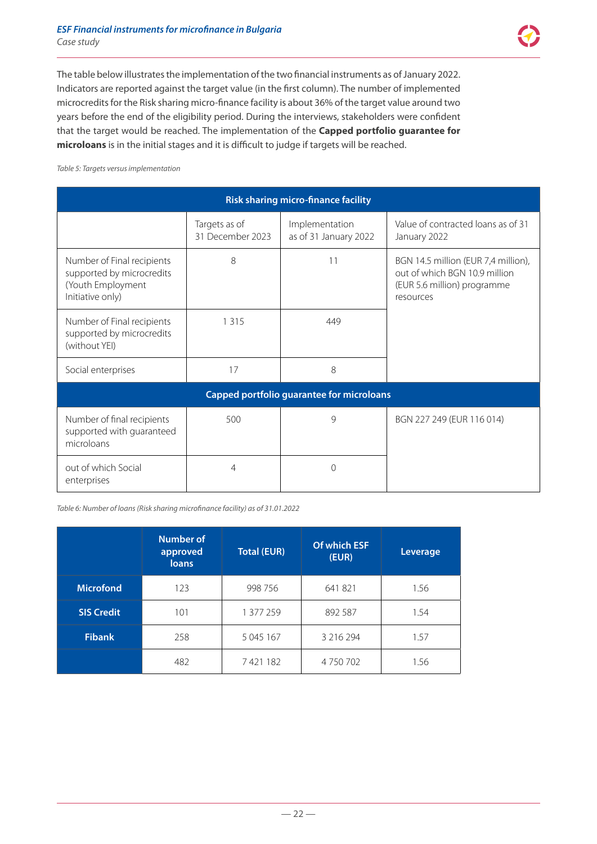The table below illustrates the implementation of the two financial instruments as of January 2022. Indicators are reported against the target value (in the first column). The number of implemented microcredits for the Risk sharing micro-finance facility is about 36% of the target value around two years before the end of the eligibility period. During the interviews, stakeholders were confident that the target would be reached. The implementation of the **Capped portfolio guarantee for microloans** is in the initial stages and it is difficult to judge if targets will be reached.

*Table 5: Targets versus implementation*

| <b>Risk sharing micro-finance facility</b>                                                       |                                   |                                         |                                                                                                                  |
|--------------------------------------------------------------------------------------------------|-----------------------------------|-----------------------------------------|------------------------------------------------------------------------------------------------------------------|
|                                                                                                  | Targets as of<br>31 December 2023 | Implementation<br>as of 31 January 2022 | Value of contracted loans as of 31<br>January 2022                                                               |
| Number of Final recipients<br>supported by microcredits<br>(Youth Employment<br>Initiative only) | 8                                 | 11                                      | BGN 14.5 million (EUR 7,4 million),<br>out of which BGN 10.9 million<br>(EUR 5.6 million) programme<br>resources |
| Number of Final recipients<br>supported by microcredits<br>(without YEI)                         | 1 3 1 5                           | 449                                     |                                                                                                                  |
| Social enterprises                                                                               | 17                                | 8                                       |                                                                                                                  |
| Capped portfolio guarantee for microloans                                                        |                                   |                                         |                                                                                                                  |
| Number of final recipients<br>supported with guaranteed<br>microloans                            | 500                               | $\mathsf{Q}$                            | BGN 227 249 (EUR 116 014)                                                                                        |
| out of which Social<br>enterprises                                                               | 4                                 | $\Omega$                                |                                                                                                                  |

*Table 6: Number of loans (Risk sharing microfinance facility) as of 31.01.2022*

|                   | Number of<br>approved<br><b>loans</b> | <b>Total (EUR)</b> | Of which ESF<br>(EUR) | Leverage |
|-------------------|---------------------------------------|--------------------|-----------------------|----------|
| <b>Microfond</b>  | 123                                   | 998 756            | 641821                | 1.56     |
| <b>SIS Credit</b> | 101                                   | 1 377 259          | 892 587               | 1.54     |
| <b>Fibank</b>     | 258                                   | 5 045 167          | 3 2 1 6 2 9 4         | 1.57     |
|                   | 482                                   | 7421182            | 4750702               | 1.56     |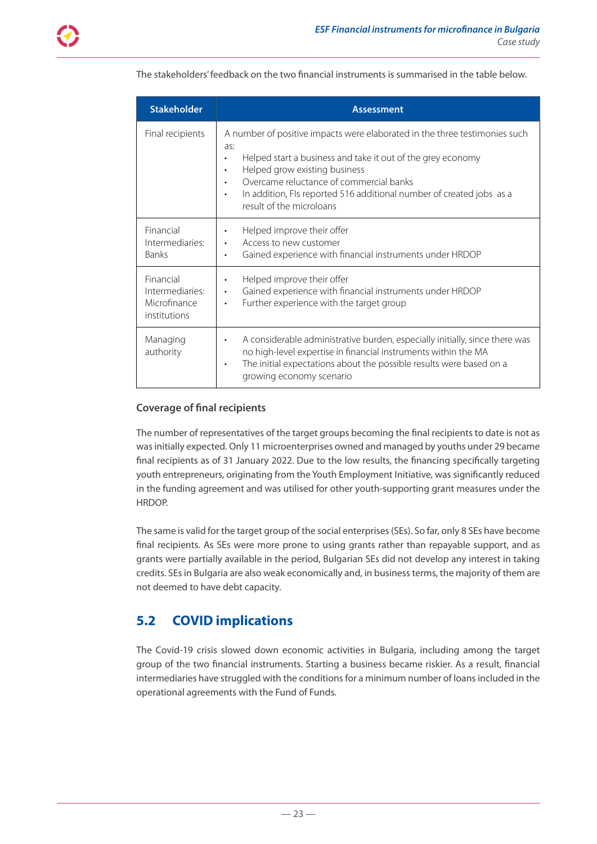| <b>Stakeholder</b>                                           | <b>Assessment</b>                                                                                                                                                                                                                                                                                                                                          |
|--------------------------------------------------------------|------------------------------------------------------------------------------------------------------------------------------------------------------------------------------------------------------------------------------------------------------------------------------------------------------------------------------------------------------------|
| Final recipients                                             | A number of positive impacts were elaborated in the three testimonies such<br>as:<br>Helped start a business and take it out of the grey economy<br>Helped grow existing business<br>$\bullet$<br>Overcame reluctance of commercial banks<br>In addition, FIs reported 516 additional number of created jobs as a<br>$\bullet$<br>result of the microloans |
| Financial<br>Intermediaries:<br><b>Banks</b>                 | Helped improve their offer<br>$\bullet$<br>Access to new customer<br>Gained experience with financial instruments under HRDOP                                                                                                                                                                                                                              |
| Financial<br>Intermediaries:<br>Microfinance<br>institutions | Helped improve their offer<br>$\bullet$<br>Gained experience with financial instruments under HRDOP<br>$\bullet$<br>Further experience with the target group<br>$\bullet$                                                                                                                                                                                  |
| Managing<br>authority                                        | A considerable administrative burden, especially initially, since there was<br>$\bullet$<br>no high-level expertise in financial instruments within the MA<br>The initial expectations about the possible results were based on a<br>$\bullet$<br>growing economy scenario                                                                                 |

<span id="page-22-0"></span>The stakeholders' feedback on the two financial instruments is summarised in the table below.

### **Coverage of final recipients**

The number of representatives of the target groups becoming the final recipients to date is not as was initially expected. Only 11 microenterprises owned and managed by youths under 29 became final recipients as of 31 January 2022. Due to the low results, the financing specifically targeting youth entrepreneurs, originating from the Youth Employment Initiative, was significantly reduced in the funding agreement and was utilised for other youth-supporting grant measures under the HRDOP.

The same is valid for the target group of the social enterprises (SEs). So far, only 8 SEs have become final recipients. As SEs were more prone to using grants rather than repayable support, and as grants were partially available in the period, Bulgarian SEs did not develop any interest in taking credits. SEs in Bulgaria are also weak economically and, in business terms, the majority of them are not deemed to have debt capacity.

### **5.2 COVID implications**

The Covid-19 crisis slowed down economic activities in Bulgaria, including among the target group of the two financial instruments. Starting a business became riskier. As a result, financial intermediaries have struggled with the conditions for a minimum number of loans included in the operational agreements with the Fund of Funds.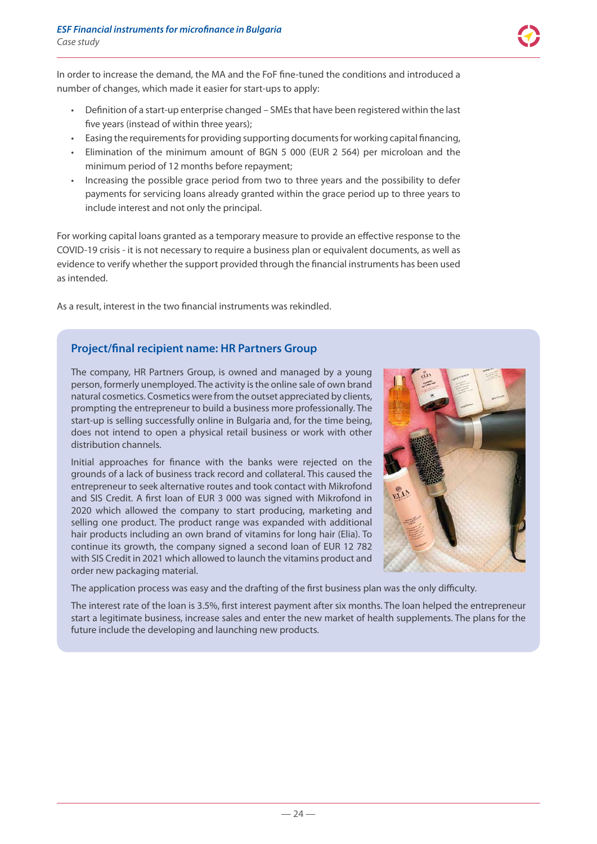

In order to increase the demand, the MA and the FoF fine-tuned the conditions and introduced a number of changes, which made it easier for start-ups to apply:

- Definition of a start-up enterprise changed SMEs that have been registered within the last five years (instead of within three years);
- Easing the requirements for providing supporting documents for working capital financing,
- Elimination of the minimum amount of BGN 5 000 (EUR 2 564) per microloan and the minimum period of 12 months before repayment;
- Increasing the possible grace period from two to three years and the possibility to defer payments for servicing loans already granted within the grace period up to three years to include interest and not only the principal.

For working capital loans granted as a temporary measure to provide an effective response to the COVID-19 crisis - it is not necessary to require a business plan or equivalent documents, as well as evidence to verify whether the support provided through the financial instruments has been used as intended.

As a result, interest in the two financial instruments was rekindled.

### **Project/final recipient name: HR Partners Group**

The company, HR Partners Group, is owned and managed by a young person, formerly unemployed. The activity is the online sale of own brand natural cosmetics. Cosmetics were from the outset appreciated by clients, prompting the entrepreneur to build a business more professionally. The start-up is selling successfully online in Bulgaria and, for the time being, does not intend to open a physical retail business or work with other distribution channels.

Initial approaches for finance with the banks were rejected on the grounds of a lack of business track record and collateral. This caused the entrepreneur to seek alternative routes and took contact with Mikrofond and SIS Credit. A first loan of EUR 3 000 was signed with Mikrofond in 2020 which allowed the company to start producing, marketing and selling one product. The product range was expanded with additional hair products including an own brand of vitamins for long hair (Elia). To continue its growth, the company signed a second loan of EUR 12 782 with SIS Credit in 2021 which allowed to launch the vitamins product and order new packaging material.



The application process was easy and the drafting of the first business plan was the only difficulty.

The interest rate of the loan is 3.5%, first interest payment after six months. The loan helped the entrepreneur start a legitimate business, increase sales and enter the new market of health supplements. The plans for the future include the developing and launching new products.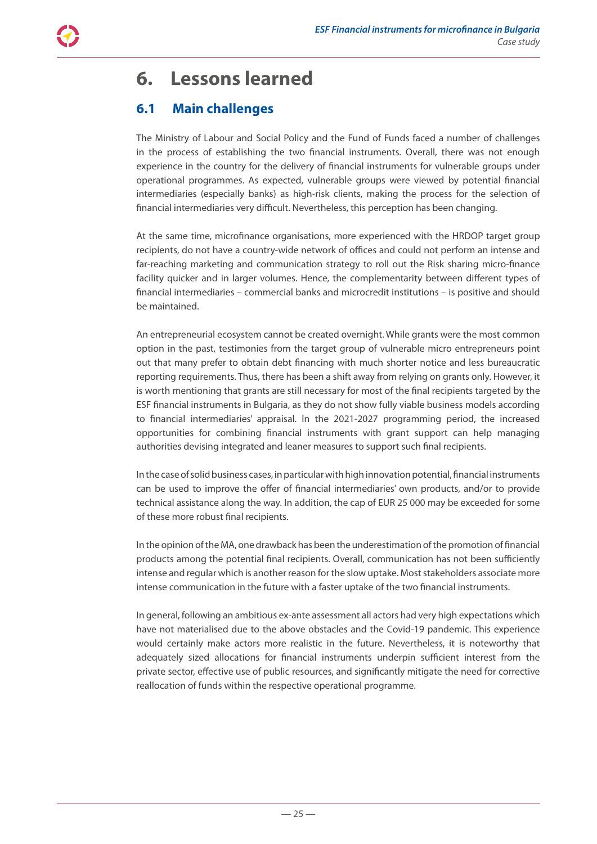<span id="page-24-0"></span>

### **6.1 Main challenges**

The Ministry of Labour and Social Policy and the Fund of Funds faced a number of challenges in the process of establishing the two financial instruments. Overall, there was not enough experience in the country for the delivery of financial instruments for vulnerable groups under operational programmes. As expected, vulnerable groups were viewed by potential financial intermediaries (especially banks) as high-risk clients, making the process for the selection of financial intermediaries very difficult. Nevertheless, this perception has been changing.

At the same time, microfinance organisations, more experienced with the HRDOP target group recipients, do not have a country-wide network of offices and could not perform an intense and far-reaching marketing and communication strategy to roll out the Risk sharing micro-finance facility quicker and in larger volumes. Hence, the complementarity between different types of financial intermediaries – commercial banks and microcredit institutions – is positive and should be maintained.

An entrepreneurial ecosystem cannot be created overnight. While grants were the most common option in the past, testimonies from the target group of vulnerable micro entrepreneurs point out that many prefer to obtain debt financing with much shorter notice and less bureaucratic reporting requirements. Thus, there has been a shift away from relying on grants only. However, it is worth mentioning that grants are still necessary for most of the final recipients targeted by the ESF financial instruments in Bulgaria, as they do not show fully viable business models according to financial intermediaries' appraisal. In the 2021-2027 programming period, the increased opportunities for combining financial instruments with grant support can help managing authorities devising integrated and leaner measures to support such final recipients.

In the case of solid business cases, in particular with high innovation potential, financial instruments can be used to improve the offer of financial intermediaries' own products, and/or to provide technical assistance along the way. In addition, the cap of EUR 25 000 may be exceeded for some of these more robust final recipients.

In the opinion of the MA, one drawback has been the underestimation of the promotion of financial products among the potential final recipients. Overall, communication has not been sufficiently intense and regular which is another reason for the slow uptake. Most stakeholders associate more intense communication in the future with a faster uptake of the two financial instruments.

In general, following an ambitious ex-ante assessment all actors had very high expectations which have not materialised due to the above obstacles and the Covid-19 pandemic. This experience would certainly make actors more realistic in the future. Nevertheless, it is noteworthy that adequately sized allocations for financial instruments underpin sufficient interest from the private sector, effective use of public resources, and significantly mitigate the need for corrective reallocation of funds within the respective operational programme.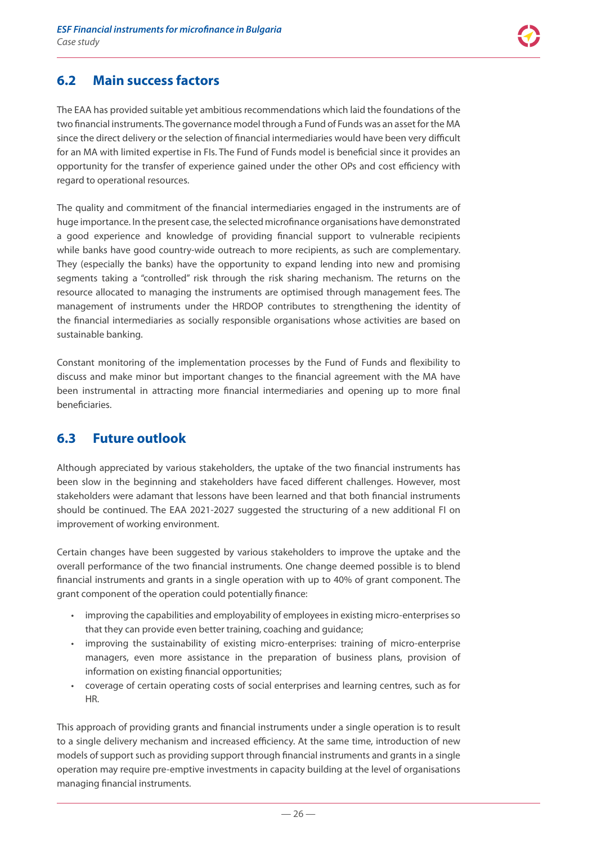### <span id="page-25-0"></span>**6.2 Main success factors**

The EAA has provided suitable yet ambitious recommendations which laid the foundations of the two financial instruments. The governance model through a Fund of Funds was an asset for the MA since the direct delivery or the selection of financial intermediaries would have been very difficult for an MA with limited expertise in FIs. The Fund of Funds model is beneficial since it provides an opportunity for the transfer of experience gained under the other OPs and cost efficiency with regard to operational resources.

The quality and commitment of the financial intermediaries engaged in the instruments are of huge importance. In the present case, the selected microfinance organisations have demonstrated a good experience and knowledge of providing financial support to vulnerable recipients while banks have good country-wide outreach to more recipients, as such are complementary. They (especially the banks) have the opportunity to expand lending into new and promising segments taking a "controlled" risk through the risk sharing mechanism. The returns on the resource allocated to managing the instruments are optimised through management fees. The management of instruments under the HRDOP contributes to strengthening the identity of the financial intermediaries as socially responsible organisations whose activities are based on sustainable banking.

Constant monitoring of the implementation processes by the Fund of Funds and flexibility to discuss and make minor but important changes to the financial agreement with the MA have been instrumental in attracting more financial intermediaries and opening up to more final beneficiaries.

### **6.3 Future outlook**

Although appreciated by various stakeholders, the uptake of the two financial instruments has been slow in the beginning and stakeholders have faced different challenges. However, most stakeholders were adamant that lessons have been learned and that both financial instruments should be continued. The EAA 2021-2027 suggested the structuring of a new additional FI on improvement of working environment.

Certain changes have been suggested by various stakeholders to improve the uptake and the overall performance of the two financial instruments. One change deemed possible is to blend financial instruments and grants in a single operation with up to 40% of grant component. The grant component of the operation could potentially finance:

- improving the capabilities and employability of employees in existing micro-enterprises so that they can provide even better training, coaching and guidance;
- improving the sustainability of existing micro-enterprises: training of micro-enterprise managers, even more assistance in the preparation of business plans, provision of information on existing financial opportunities;
- coverage of certain operating costs of social enterprises and learning centres, such as for HR.

This approach of providing grants and financial instruments under a single operation is to result to a single delivery mechanism and increased efficiency. At the same time, introduction of new models of support such as providing support through financial instruments and grants in a single operation may require pre-emptive investments in capacity building at the level of organisations managing financial instruments.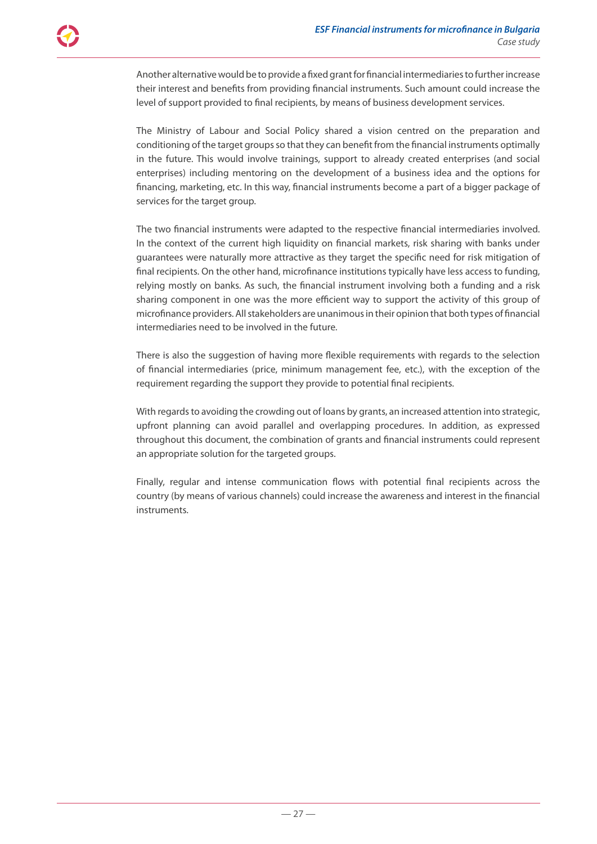Another alternative would be to provide a fixed grant for financial intermediaries to further increase their interest and benefits from providing financial instruments. Such amount could increase the level of support provided to final recipients, by means of business development services.

The Ministry of Labour and Social Policy shared a vision centred on the preparation and conditioning of the target groups so that they can benefit from the financial instruments optimally in the future. This would involve trainings, support to already created enterprises (and social enterprises) including mentoring on the development of a business idea and the options for financing, marketing, etc. In this way, financial instruments become a part of a bigger package of services for the target group.

The two financial instruments were adapted to the respective financial intermediaries involved. In the context of the current high liquidity on financial markets, risk sharing with banks under guarantees were naturally more attractive as they target the specific need for risk mitigation of final recipients. On the other hand, microfinance institutions typically have less access to funding, relying mostly on banks. As such, the financial instrument involving both a funding and a risk sharing component in one was the more efficient way to support the activity of this group of microfinance providers. All stakeholders are unanimous in their opinion that both types of financial intermediaries need to be involved in the future.

There is also the suggestion of having more flexible requirements with regards to the selection of financial intermediaries (price, minimum management fee, etc.), with the exception of the requirement regarding the support they provide to potential final recipients.

With regards to avoiding the crowding out of loans by grants, an increased attention into strategic, upfront planning can avoid parallel and overlapping procedures. In addition, as expressed throughout this document, the combination of grants and financial instruments could represent an appropriate solution for the targeted groups.

Finally, regular and intense communication flows with potential final recipients across the country (by means of various channels) could increase the awareness and interest in the financial instruments.